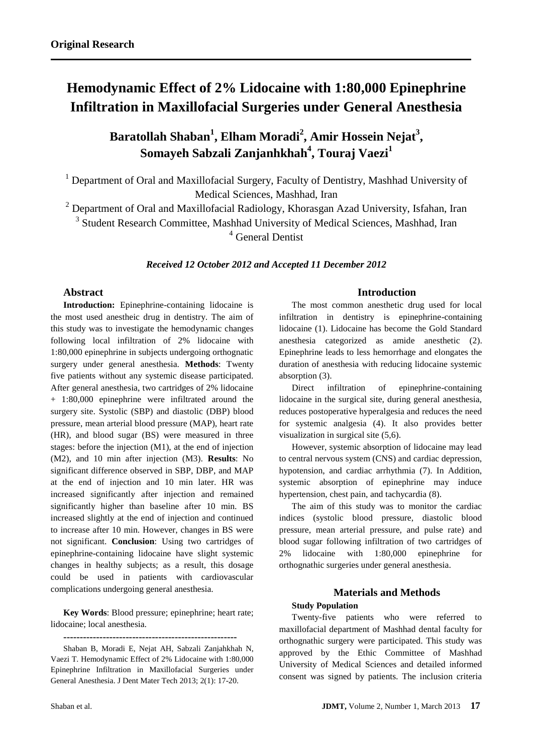# **Hemodynamic Effect of 2% Lidocaine with 1:80,000 Epinephrine Infiltration in Maxillofacial Surgeries under General Anesthesia**

**Baratollah Shaban<sup>1</sup> , Elham Moradi<sup>2</sup> , Amir Hossein Nejat<sup>3</sup> , Somayeh Sabzali Zanjanhkhah<sup>4</sup> , Touraj Vaezi<sup>1</sup>**

<sup>1</sup> Department of Oral and Maxillofacial Surgery, Faculty of Dentistry, Mashhad University of Medical Sciences, Mashhad, Iran

<sup>2</sup> Department of Oral and Maxillofacial Radiology, Khorasgan Azad University, Isfahan, Iran

<sup>3</sup> Student Research Committee, Mashhad University of Medical Sciences, Mashhad, Iran <sup>4</sup> General Dentist

*Received 12 October 2012 and Accepted 11 December 2012*

# **Abstract**

**Introduction:** Epinephrine-containing lidocaine is the most used anestheic drug in dentistry. The aim of this study was to investigate the hemodynamic changes following local infiltration of 2% lidocaine with 1:80,000 epinephrine in subjects undergoing orthognatic surgery under general anesthesia. **Methods**: Twenty five patients without any systemic disease participated. After general anesthesia, two cartridges of 2% lidocaine + 1:80,000 epinephrine were infiltrated around the surgery site. Systolic (SBP) and diastolic (DBP) blood pressure, mean arterial blood pressure (MAP), heart rate (HR), and blood sugar (BS) were measured in three stages: before the injection (M1), at the end of injection (M2), and 10 min after injection (M3). **Results**: No significant difference observed in SBP, DBP, and MAP at the end of injection and 10 min later. HR was increased significantly after injection and remained significantly higher than baseline after 10 min. BS increased slightly at the end of injection and continued to increase after 10 min. However, changes in BS were not significant. **Conclusion**: Using two cartridges of epinephrine-containing lidocaine have slight systemic changes in healthy subjects; as a result, this dosage could be used in patients with cardiovascular complications undergoing general anesthesia.

**Key Words**: Blood pressure; epinephrine; heart rate; lidocaine; local anesthesia.

**-----------------------------------------------------**

Shaban B, Moradi E, Nejat AH, Sabzali Zanjahkhah N, Vaezi T. Hemodynamic Effect of 2% Lidocaine with 1:80,000 Epinephrine Infiltration in Maxillofacial Surgeries under General Anesthesia. J Dent Mater Tech 2013; 2(1): 17-20.

## **Introduction**

The most common anesthetic drug used for local infiltration in dentistry is epinephrine-containing lidocaine (1). Lidocaine has become the Gold Standard anesthesia categorized as amide anesthetic (2). Epinephrine leads to less hemorrhage and elongates the duration of anesthesia with reducing lidocaine systemic absorption (3).

Direct infiltration of epinephrine-containing lidocaine in the surgical site, during general anesthesia, reduces postoperative hyperalgesia and reduces the need for systemic analgesia (4). It also provides better visualization in surgical site (5,6).

However, systemic absorption of lidocaine may lead to central nervous system (CNS) and cardiac depression, hypotension, and cardiac arrhythmia (7). In Addition, systemic absorption of epinephrine may induce hypertension, chest pain, and tachycardia (8).

The aim of this study was to monitor the cardiac indices (systolic blood pressure, diastolic blood pressure, mean arterial pressure, and pulse rate) and blood sugar following infiltration of two cartridges of 2% lidocaine with 1:80,000 epinephrine for orthognathic surgeries under general anesthesia.

## **Materials and Methods**

#### **Study Population**

Twenty-five patients who were referred to maxillofacial department of Mashhad dental faculty for orthognathic surgery were participated. This study was approved by the Ethic Committee of Mashhad University of Medical Sciences and detailed informed consent was signed by patients. The inclusion criteria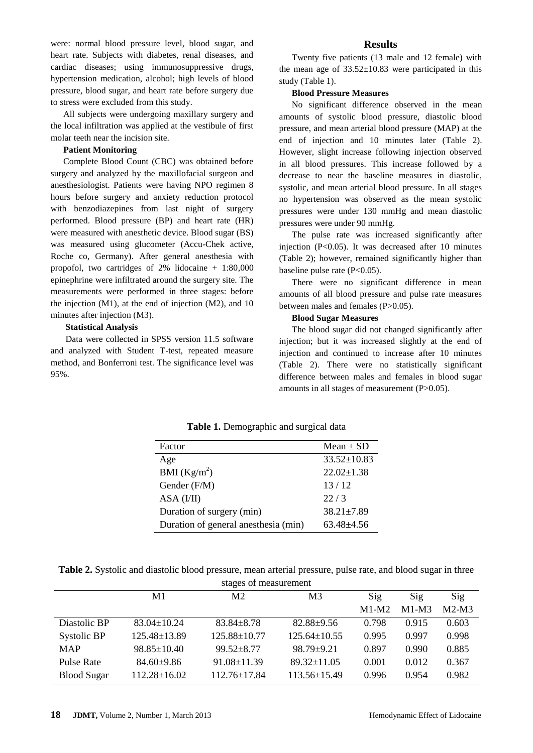were: normal blood pressure level, blood sugar, and heart rate. Subjects with diabetes, renal diseases, and cardiac diseases; using immunosuppressive drugs, hypertension medication, alcohol; high levels of blood pressure, blood sugar, and heart rate before surgery due to stress were excluded from this study.

All subjects were undergoing maxillary surgery and the local infiltration was applied at the vestibule of first molar teeth near the incision site.

#### **Patient Monitoring**

Complete Blood Count (CBC) was obtained before surgery and analyzed by the maxillofacial surgeon and anesthesiologist. Patients were having NPO regimen 8 hours before surgery and anxiety reduction protocol with benzodiazepines from last night of surgery performed. Blood pressure (BP) and heart rate (HR) were measured with anesthetic device. Blood sugar (BS) was measured using glucometer (Accu-Chek active, Roche co, Germany). After general anesthesia with propofol, two cartridges of 2% lidocaine + 1:80,000 epinephrine were infiltrated around the surgery site. The measurements were performed in three stages: before the injection (M1), at the end of injection (M2), and 10 minutes after injection (M3).

## **Statistical Analysis**

Data were collected in SPSS version 11.5 software and analyzed with Student T-test, repeated measure method, and Bonferroni test. The significance level was 95%.

#### **Results**

Twenty five patients (13 male and 12 female) with the mean age of  $33.52 \pm 10.83$  were participated in this study (Table 1).

#### **Blood Pressure Measures**

No significant difference observed in the mean amounts of systolic blood pressure, diastolic blood pressure, and mean arterial blood pressure (MAP) at the end of injection and 10 minutes later (Table 2). However, slight increase following injection observed in all blood pressures. This increase followed by a decrease to near the baseline measures in diastolic, systolic, and mean arterial blood pressure. In all stages no hypertension was observed as the mean systolic pressures were under 130 mmHg and mean diastolic pressures were under 90 mmHg.

The pulse rate was increased significantly after injection (P<0.05). It was decreased after 10 minutes (Table 2); however, remained significantly higher than baseline pulse rate  $(P<0.05)$ .

There were no significant difference in mean amounts of all blood pressure and pulse rate measures between males and females (P>0.05).

## **Blood Sugar Measures**

The blood sugar did not changed significantly after injection; but it was increased slightly at the end of injection and continued to increase after 10 minutes (Table 2). There were no statistically significant difference between males and females in blood sugar amounts in all stages of measurement (P>0.05).

|  | Table 1. Demographic and surgical data |  |  |  |
|--|----------------------------------------|--|--|--|
|--|----------------------------------------|--|--|--|

| Factor                               | Mean $\pm$ SD     |
|--------------------------------------|-------------------|
| Age                                  | $33.52 \pm 10.83$ |
| BMI $(Kg/m^2)$                       | $22.02 \pm 1.38$  |
| Gender (F/M)                         | 13/12             |
| ASA (I/II)                           | 22/3              |
| Duration of surgery (min)            | $38.21 \pm 7.89$  |
| Duration of general anesthesia (min) | $63.48 + 4.56$    |

**Table 2.** Systolic and diastolic blood pressure, mean arterial pressure, pulse rate, and blood sugar in three

| stages of measurement |                    |                    |                    |         |         |         |  |  |  |
|-----------------------|--------------------|--------------------|--------------------|---------|---------|---------|--|--|--|
|                       | M1                 | M <sub>2</sub>     | M <sub>3</sub>     | Sig     | Sig     | Sig     |  |  |  |
|                       |                    |                    |                    | $M1-M2$ | $M1-M3$ | $M2-M3$ |  |  |  |
| Diastolic BP          | $83.04 \pm 10.24$  | $83.84 \pm 8.78$   | $82.88 + 9.56$     | 0.798   | 0.915   | 0.603   |  |  |  |
| Systolic BP           | 125.48±13.89       | $125.88 \pm 10.77$ | $125.64 \pm 10.55$ | 0.995   | 0.997   | 0.998   |  |  |  |
| <b>MAP</b>            | $98.85 \pm 10.40$  | $99.52 \pm 8.77$   | $98.79 \pm 9.21$   | 0.897   | 0.990   | 0.885   |  |  |  |
| <b>Pulse Rate</b>     | $84.60 \pm 9.86$   | $91.08 \pm 11.39$  | $89.32 \pm 11.05$  | 0.001   | 0.012   | 0.367   |  |  |  |
| <b>Blood Sugar</b>    | $112.28 \pm 16.02$ | $112.76 \pm 17.84$ | 113.56±15.49       | 0.996   | 0.954   | 0.982   |  |  |  |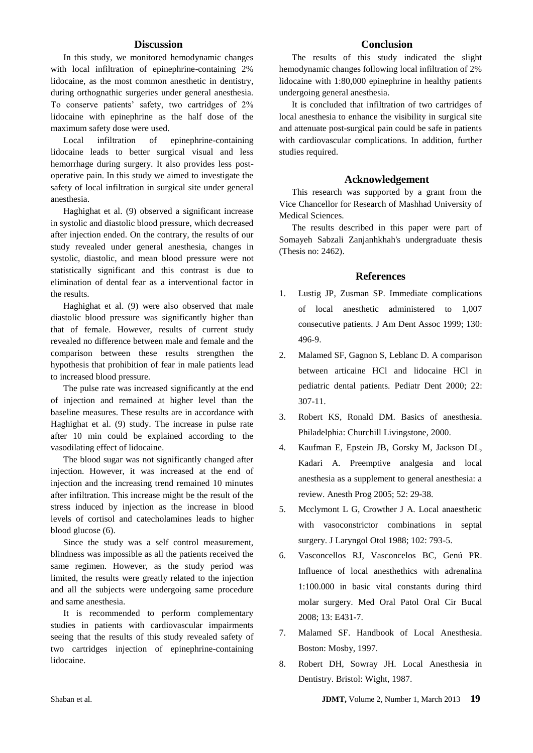## **Discussion**

In this study, we monitored hemodynamic changes with local infiltration of epinephrine-containing 2% lidocaine, as the most common anesthetic in dentistry, during orthognathic surgeries under general anesthesia. To conserve patients' safety, two cartridges of 2% lidocaine with epinephrine as the half dose of the maximum safety dose were used.

Local infiltration of epinephrine-containing lidocaine leads to better surgical visual and less hemorrhage during surgery. It also provides less postoperative pain. In this study we aimed to investigate the safety of local infiltration in surgical site under general anesthesia.

Haghighat et al. (9) observed a significant increase in systolic and diastolic blood pressure, which decreased after injection ended. On the contrary, the results of our study revealed under general anesthesia, changes in systolic, diastolic, and mean blood pressure were not statistically significant and this contrast is due to elimination of dental fear as a interventional factor in the results.

Haghighat et al. (9) were also observed that male diastolic blood pressure was significantly higher than that of female. However, results of current study revealed no difference between male and female and the comparison between these results strengthen the hypothesis that prohibition of fear in male patients lead to increased blood pressure.

The pulse rate was increased significantly at the end of injection and remained at higher level than the baseline measures. These results are in accordance with Haghighat et al. (9) study. The increase in pulse rate after 10 min could be explained according to the vasodilating effect of lidocaine.

The blood sugar was not significantly changed after injection. However, it was increased at the end of injection and the increasing trend remained 10 minutes after infiltration. This increase might be the result of the stress induced by injection as the increase in blood levels of cortisol and catecholamines leads to higher blood glucose (6).

Since the study was a self control measurement, blindness was impossible as all the patients received the same regimen. However, as the study period was limited, the results were greatly related to the injection and all the subjects were undergoing same procedure and same anesthesia.

It is recommended to perform complementary studies in patients with cardiovascular impairments seeing that the results of this study revealed safety of two cartridges injection of epinephrine-containing lidocaine.

## **Conclusion**

The results of this study indicated the slight hemodynamic changes following local infiltration of 2% lidocaine with 1:80,000 epinephrine in healthy patients undergoing general anesthesia.

It is concluded that infiltration of two cartridges of local anesthesia to enhance the visibility in surgical site and attenuate post-surgical pain could be safe in patients with cardiovascular complications. In addition, further studies required.

#### **Acknowledgement**

This research was supported by a grant from the Vice Chancellor for Research of Mashhad University of Medical Sciences.

The results described in this paper were part of Somayeh Sabzali Zanjanhkhah's undergraduate thesis (Thesis no: 2462).

#### **References**

- 1. [Lustig JP,](http://www.ncbi.nlm.nih.gov/pubmed?term=Lustig%20JP%5BAuthor%5D&cauthor=true&cauthor_uid=10203899) [Zusman SP.](http://www.ncbi.nlm.nih.gov/pubmed?term=Zusman%20SP%5BAuthor%5D&cauthor=true&cauthor_uid=10203899) Immediate complications of local anesthetic administered to 1,007 consecutive patients. [J Am Dent Assoc](http://www.ncbi.nlm.nih.gov/pubmed/10203899) 1999; 130: 496-9.
- 2. [Malamed SF,](http://www.ncbi.nlm.nih.gov/pubmed?term=Malamed%20SF%5BAuthor%5D&cauthor=true&cauthor_uid=10969438) [Gagnon S,](http://www.ncbi.nlm.nih.gov/pubmed?term=Gagnon%20S%5BAuthor%5D&cauthor=true&cauthor_uid=10969438) [Leblanc D.](http://www.ncbi.nlm.nih.gov/pubmed?term=Leblanc%20D%5BAuthor%5D&cauthor=true&cauthor_uid=10969438) A comparison between articaine HCl and lidocaine HCl in pediatric dental patients. [Pediatr Dent](http://www.ncbi.nlm.nih.gov/pubmed/10969438) 2000; 22: 307-11.
- 3. Robert KS, Ronald DM. Basics of anesthesia. Philadelphia: Churchill Livingstone, 2000.
- 4. [Kaufman E,](http://www.ncbi.nlm.nih.gov/pubmed?term=Kaufman%20E%5BAuthor%5D&cauthor=true&cauthor_uid=15859447) [Epstein JB,](http://www.ncbi.nlm.nih.gov/pubmed?term=Epstein%20JB%5BAuthor%5D&cauthor=true&cauthor_uid=15859447) [Gorsky M,](http://www.ncbi.nlm.nih.gov/pubmed?term=Gorsky%20M%5BAuthor%5D&cauthor=true&cauthor_uid=15859447) [Jackson DL,](http://www.ncbi.nlm.nih.gov/pubmed?term=Jackson%20DL%5BAuthor%5D&cauthor=true&cauthor_uid=15859447) [Kadari A.](http://www.ncbi.nlm.nih.gov/pubmed?term=Kadari%20A%5BAuthor%5D&cauthor=true&cauthor_uid=15859447) Preemptive analgesia and local anesthesia as a supplement to general anesthesia: a review. [Anesth Prog](http://www.ncbi.nlm.nih.gov/pubmed/15859447) 2005; 52: 29-38.
- 5. Mcclymont L G, Crowther J A. Local anaesthetic with vasoconstrictor combinations in septal surgery. J Laryngol Otol 1988; 102: 793-5.
- 6. [Vasconcellos RJ,](http://www.ncbi.nlm.nih.gov/pubmed?term=Vasconcellos%20RJ%5BAuthor%5D&cauthor=true&cauthor_uid=18587307) [Vasconcelos BC,](http://www.ncbi.nlm.nih.gov/pubmed?term=Vasconcelos%20BC%5BAuthor%5D&cauthor=true&cauthor_uid=18587307) [Genú PR.](http://www.ncbi.nlm.nih.gov/pubmed?term=Gen%C3%BA%20PR%5BAuthor%5D&cauthor=true&cauthor_uid=18587307) Influence of local anesthethics with adrenalina 1:100.000 in basic vital constants during third molar surgery. [Med Oral Patol Oral Cir Bucal](http://www.ncbi.nlm.nih.gov/pubmed/18587307) 2008; 13: E431-7.
- 7. Malamed SF. Handbook of Local Anesthesia. Boston: Mosby, 1997.
- 8. Robert DH, Sowray JH. Local Anesthesia in Dentistry. Bristol: Wight, 1987.